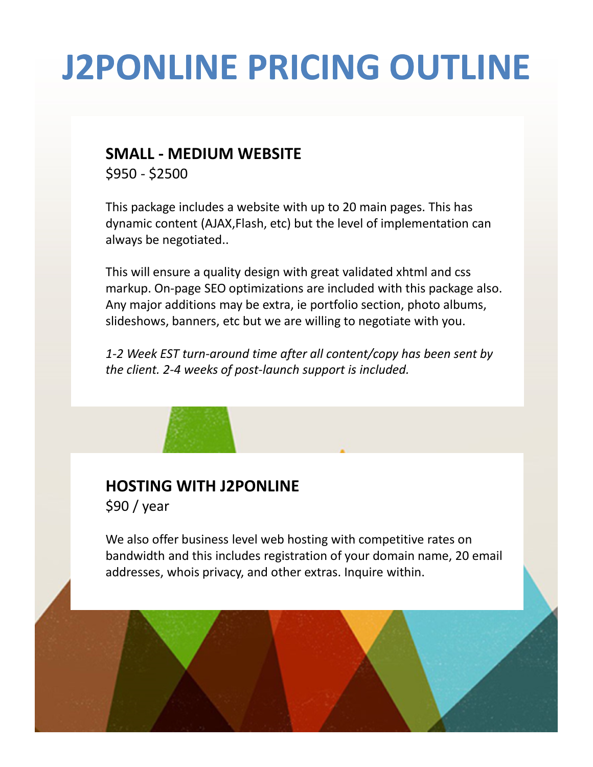## **J2PONLINE PRICING OUTLINE**

#### **SMALL - MEDIUM WEBSITE**

\$950 - \$2500

This package includes a website with up to 20 main pages. This has dynamic content (AJAX,Flash, etc) but the level of implementation can always be negotiated..

This will ensure a quality design with great validated xhtml and css markup. On-page SEO optimizations are included with this package also. Any major additions may be extra, ie portfolio section, photo albums, slideshows, banners, etc but we are willing to negotiate with you.

*1-2 Week EST turn-around time after all content/copy has been sent by the client. 2-4 weeks of post-launch support is included.*

### **HOSTING WITH J2PONLINE**

\$90 / year

We also offer business level web hosting with competitive rates on bandwidth and this includes registration of your domain name, 20 email addresses, whois privacy, and other extras. Inquire within.